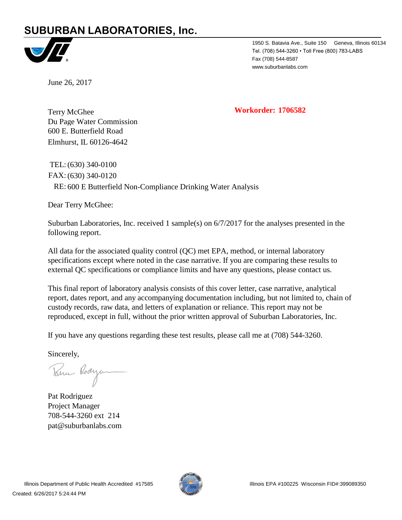# **SUBURBAN LABORATORIES, Inc.**



1950 S. Batavia Ave., Suite 150 Geneva, Illinois 60134 Tel. (708) 544-3260 • Toll Free (800) 783-LABS Fax (708) 544-8587 www.suburbanlabs.com

June 26, 2017

**Workorder: 1706582**

Du Page Water Commission Terry McGhee 600 E. Butterfield Road Elmhurst, IL 60126-4642

RE: 600 E Butterfield Non-Compliance Drinking Water Analysis FAX: (630) 340-0120 TEL:(630) 340-0100

Dear Terry McGhee:

Suburban Laboratories, Inc. received 1 sample(s) on 6/7/2017 for the analyses presented in the following report.

All data for the associated quality control (QC) met EPA, method, or internal laboratory specifications except where noted in the case narrative. If you are comparing these results to external QC specifications or compliance limits and have any questions, please contact us.

This final report of laboratory analysis consists of this cover letter, case narrative, analytical report, dates report, and any accompanying documentation including, but not limited to, chain of custody records, raw data, and letters of explanation or reliance. This report may not be reproduced, except in full, without the prior written approval of Suburban Laboratories, Inc.

If you have any questions regarding these test results, please call me at (708) 544-3260.

Sincerely,

Parme Rodyen

Pat Rodriguez Project Manager pat@suburbanlabs.com 708-544-3260 ext 214

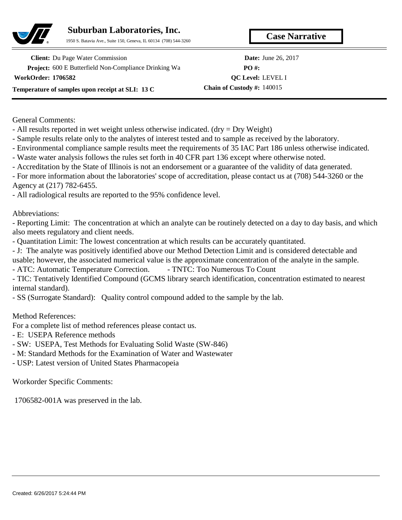

**Case Narrative Suburban Laboratories, Inc.**

1950 S. Batavia Ave., Suite 150, Geneva, IL 60134 (708) 544-3260

**Project:** 600 E Butterfield Non-Compliance Drinking Wa **Client:** Du Page Water Commission **Date:** June 26, 2017 **WorkOrder: 1706582 Temperature of samples upon receipt at SLI: 13 C**

**PO #: Chain of Custody #:** 140015 **QC Level:** LEVEL I

General Comments:

- All results reported in wet weight unless otherwise indicated. (dry = Dry Weight)

- Sample results relate only to the analytes of interest tested and to sample as received by the laboratory.

- Environmental compliance sample results meet the requirements of 35 IAC Part 186 unless otherwise indicated.

- Waste water analysis follows the rules set forth in 40 CFR part 136 except where otherwise noted.

- Accreditation by the State of Illinois is not an endorsement or a guarantee of the validity of data generated.

- For more information about the laboratories' scope of accreditation, please contact us at (708) 544-3260 or the Agency at (217) 782-6455.

- All radiological results are reported to the 95% confidence level.

Abbreviations:

- Reporting Limit: The concentration at which an analyte can be routinely detected on a day to day basis, and which also meets regulatory and client needs.

- Quantitation Limit: The lowest concentration at which results can be accurately quantitated.

- J: The analyte was positively identified above our Method Detection Limit and is considered detectable and

usable; however, the associated numerical value is the approximate concentration of the analyte in the sample.

- ATC: Automatic Temperature Correction. - TNTC: Too Numerous To Count

- TIC: Tentatively Identified Compound (GCMS library search identification, concentration estimated to nearest internal standard).

- SS (Surrogate Standard): Quality control compound added to the sample by the lab.

Method References:

For a complete list of method references please contact us.

- E: USEPA Reference methods

- SW: USEPA, Test Methods for Evaluating Solid Waste (SW-846)

- M: Standard Methods for the Examination of Water and Wastewater

- USP: Latest version of United States Pharmacopeia

Workorder Specific Comments:

1706582-001A was preserved in the lab.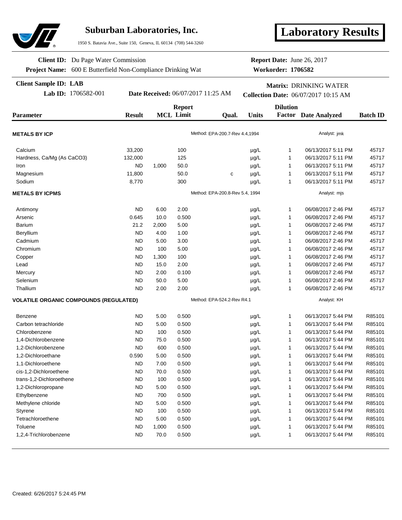

## **Suburban Laboratories, Inc.**

1950 S. Batavia Ave., Suite 150, Geneva, IL 60134 (708) 544-3260

# **Laboratory Results**

**Client ID:** Du Page Water Commission

**Project Name:** 600 E Butterfield Non-Compliance Drinking Wat

#### **Client Sample ID: LAB**

**Workorder: 1706582 Report Date:** June 26, 2017

# **Matrix:** DRINKING WATER

#### **Lab ID:** 1706582-001 **Date Received:** 06/07/2017 11:25 AM **Collection Date:** 06/07/2017 10:15 AM

|                                               |               | <b>Report</b> |                  |                                 |              | <b>Dilution</b> |                             |                 |  |
|-----------------------------------------------|---------------|---------------|------------------|---------------------------------|--------------|-----------------|-----------------------------|-----------------|--|
| <b>Parameter</b>                              | <b>Result</b> |               | <b>MCL Limit</b> | Qual.                           | <b>Units</b> |                 | <b>Factor</b> Date Analyzed | <b>Batch ID</b> |  |
| <b>METALS BY ICP</b>                          |               |               |                  | Method: EPA-200.7-Rev 4.4,1994  |              |                 | Analyst: jmk                |                 |  |
|                                               |               |               |                  |                                 |              |                 |                             |                 |  |
| Calcium                                       | 33,200        |               | 100              |                                 | $\mu$ g/L    | 1               | 06/13/2017 5:11 PM          | 45717           |  |
| Hardness, Ca/Mg (As CaCO3)                    | 132,000       |               | 125              |                                 | µg/L         | 1               | 06/13/2017 5:11 PM          | 45717           |  |
| Iron                                          | <b>ND</b>     | 1,000         | 50.0             |                                 | µg/L         | 1               | 06/13/2017 5:11 PM          | 45717           |  |
| Magnesium                                     | 11,800        |               | 50.0             | C                               | µg/L         | 1               | 06/13/2017 5:11 PM          | 45717           |  |
| Sodium                                        | 8,770         |               | 300              |                                 | µg/L         | $\mathbf{1}$    | 06/13/2017 5:11 PM          | 45717           |  |
| <b>METALS BY ICPMS</b>                        |               |               |                  | Method: EPA-200.8-Rev 5.4, 1994 |              |                 | Analyst: mjs                |                 |  |
| Antimony                                      | <b>ND</b>     | 6.00          | 2.00             |                                 | $\mu$ g/L    | $\mathbf{1}$    | 06/08/2017 2:46 PM          | 45717           |  |
| Arsenic                                       | 0.645         | 10.0          | 0.500            |                                 | µg/L         | $\mathbf{1}$    | 06/08/2017 2:46 PM          | 45717           |  |
| Barium                                        | 21.2          | 2,000         | 5.00             |                                 | µg/L         | $\mathbf{1}$    | 06/08/2017 2:46 PM          | 45717           |  |
| Beryllium                                     | <b>ND</b>     | 4.00          | 1.00             |                                 | µg/L         | 1               | 06/08/2017 2:46 PM          | 45717           |  |
| Cadmium                                       | <b>ND</b>     | 5.00          | 3.00             |                                 | µg/L         | $\mathbf{1}$    | 06/08/2017 2:46 PM          | 45717           |  |
| Chromium                                      | <b>ND</b>     | 100           | 5.00             |                                 | µg/L         | $\mathbf{1}$    | 06/08/2017 2:46 PM          | 45717           |  |
| Copper                                        | <b>ND</b>     | 1,300         | 100              |                                 | µg/L         | $\mathbf{1}$    | 06/08/2017 2:46 PM          | 45717           |  |
| Lead                                          | <b>ND</b>     | 15.0          | 2.00             |                                 | µg/L         | 1               | 06/08/2017 2:46 PM          | 45717           |  |
| Mercury                                       | <b>ND</b>     | 2.00          | 0.100            |                                 | µg/L         | 1               | 06/08/2017 2:46 PM          | 45717           |  |
| Selenium                                      | <b>ND</b>     | 50.0          | 5.00             |                                 | µg/L         | $\mathbf{1}$    | 06/08/2017 2:46 PM          | 45717           |  |
| Thallium                                      | <b>ND</b>     | 2.00          | 2.00             |                                 | µg/L         | $\mathbf{1}$    | 06/08/2017 2:46 PM          | 45717           |  |
| <b>VOLATILE ORGANIC COMPOUNDS (REGULATED)</b> |               |               |                  | Method: EPA-524.2-Rev R4.1      |              |                 | Analyst: KH                 |                 |  |
| Benzene                                       | <b>ND</b>     | 5.00          | 0.500            |                                 | $\mu$ g/L    | $\mathbf{1}$    | 06/13/2017 5:44 PM          | R85101          |  |
| Carbon tetrachloride                          | <b>ND</b>     | 5.00          | 0.500            |                                 | $\mu$ g/L    | 1               | 06/13/2017 5:44 PM          | R85101          |  |
| Chlorobenzene                                 | <b>ND</b>     | 100           | 0.500            |                                 | µg/L         | $\mathbf{1}$    | 06/13/2017 5:44 PM          | R85101          |  |
| 1,4-Dichlorobenzene                           | <b>ND</b>     | 75.0          | 0.500            |                                 | µg/L         | $\mathbf{1}$    | 06/13/2017 5:44 PM          | R85101          |  |
| 1,2-Dichlorobenzene                           | <b>ND</b>     | 600           | 0.500            |                                 | µg/L         | $\mathbf{1}$    | 06/13/2017 5:44 PM          | R85101          |  |
| 1,2-Dichloroethane                            | 0.590         | 5.00          | 0.500            |                                 | µg/L         | $\mathbf{1}$    | 06/13/2017 5:44 PM          | R85101          |  |
| 1,1-Dichloroethene                            | <b>ND</b>     | 7.00          | 0.500            |                                 | µg/L         | $\mathbf{1}$    | 06/13/2017 5:44 PM          | R85101          |  |
| cis-1,2-Dichloroethene                        | <b>ND</b>     | 70.0          | 0.500            |                                 | µg/L         | $\mathbf{1}$    | 06/13/2017 5:44 PM          | R85101          |  |
| trans-1,2-Dichloroethene                      | <b>ND</b>     | 100           | 0.500            |                                 | µg/L         | $\mathbf{1}$    | 06/13/2017 5:44 PM          | R85101          |  |
| 1,2-Dichloropropane                           | <b>ND</b>     | 5.00          | 0.500            |                                 | µg/L         | 1               | 06/13/2017 5:44 PM          | R85101          |  |
| Ethylbenzene                                  | <b>ND</b>     | 700           | 0.500            |                                 | $\mu g/L$    | 1               | 06/13/2017 5:44 PM          | R85101          |  |
| Methylene chloride                            | <b>ND</b>     | 5.00          | 0.500            |                                 | µg/L         | 1               | 06/13/2017 5:44 PM          | R85101          |  |
| Styrene                                       | <b>ND</b>     | 100           | 0.500            |                                 | $\mu$ g/L    | 1               | 06/13/2017 5:44 PM          | R85101          |  |
| Tetrachloroethene                             | <b>ND</b>     | 5.00          | 0.500            |                                 | µg/L         | 1               | 06/13/2017 5:44 PM          | R85101          |  |
| Toluene                                       | <b>ND</b>     | 1,000         | 0.500            |                                 | µg/L         | 1               | 06/13/2017 5:44 PM          | R85101          |  |
| 1,2,4-Trichlorobenzene                        | <b>ND</b>     | 70.0          | 0.500            |                                 | µg/L         | 1               | 06/13/2017 5:44 PM          | R85101          |  |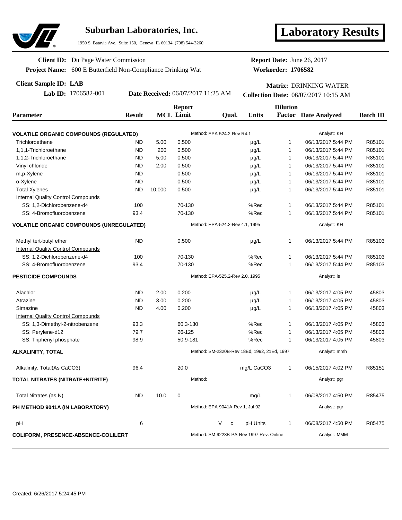

## **Suburban Laboratories, Inc.**

1950 S. Batavia Ave., Suite 150, Geneva, IL 60134 (708) 544-3260

# **Laboratory Results**

**Project Name:** 600 E Butterfield Non-Compliance Drinking Wat **Client ID:** Du Page Water Commission

**Report Date:** June 26, 2017

**Workorder: 1706582**

#### **Client Sample ID: LAB**

**Lab ID:** 1706582-001 **Date Received:** 06/07/2017 11:25 AM **Collection Date:** 06/07/2017 10:15 AM

**Matrix:** DRINKING WATER

| Parameter                                       | <b>Report</b><br><b>MCL Limit</b><br><b>Result</b><br><b>Units</b><br>Qual. |        | <b>Dilution</b>                 | <b>Factor</b> Date Analyzed              |                                             |                                                                                                         |                    |        |  |
|-------------------------------------------------|-----------------------------------------------------------------------------|--------|---------------------------------|------------------------------------------|---------------------------------------------|---------------------------------------------------------------------------------------------------------|--------------------|--------|--|
| <b>VOLATILE ORGANIC COMPOUNDS (REGULATED)</b>   |                                                                             |        |                                 | Method: EPA-524.2-Rev R4.1               |                                             |                                                                                                         | Analyst: KH        |        |  |
| Trichloroethene                                 | <b>ND</b>                                                                   | 5.00   | 0.500                           |                                          | $\mu$ g/L                                   | $\mathbf{1}$                                                                                            | 06/13/2017 5:44 PM | R85101 |  |
| 1,1,1-Trichloroethane                           | <b>ND</b>                                                                   | 200    | 0.500                           |                                          | $\mu$ g/L                                   | 1                                                                                                       | 06/13/2017 5:44 PM | R85101 |  |
| 1,1,2-Trichloroethane                           | <b>ND</b>                                                                   | 5.00   | 0.500                           | 1<br>$\mu$ g/L<br>06/13/2017 5:44 PM     |                                             |                                                                                                         | R85101             |        |  |
| Vinyl chloride                                  | <b>ND</b>                                                                   | 2.00   | 0.500                           |                                          | $\mu$ g/L                                   | $\mathbf{1}$                                                                                            | 06/13/2017 5:44 PM | R85101 |  |
| m,p-Xylene                                      | <b>ND</b>                                                                   |        | 0.500                           |                                          | µg/L                                        | 1                                                                                                       | 06/13/2017 5:44 PM | R85101 |  |
| o-Xylene                                        | <b>ND</b>                                                                   |        | 0.500                           |                                          | $\mu$ g/L                                   | $\mathbf{1}$                                                                                            | 06/13/2017 5:44 PM | R85101 |  |
| <b>Total Xylenes</b>                            | <b>ND</b>                                                                   | 10,000 | 0.500                           |                                          | $\mu$ g/L                                   | 1                                                                                                       | 06/13/2017 5:44 PM | R85101 |  |
| <b>Internal Quality Control Compounds</b>       |                                                                             |        |                                 |                                          |                                             |                                                                                                         |                    |        |  |
| SS: 1,2-Dichlorobenzene-d4                      | 100                                                                         |        | 70-130                          |                                          | %Rec                                        | 1                                                                                                       | 06/13/2017 5:44 PM | R85101 |  |
| SS: 4-Bromofluorobenzene                        | 93.4                                                                        |        | 70-130                          |                                          | %Rec                                        | 1                                                                                                       | 06/13/2017 5:44 PM | R85101 |  |
| <b>VOLATILE ORGANIC COMPOUNDS (UNREGULATED)</b> |                                                                             |        |                                 | Method: EPA-524.2-Rev 4.1, 1995          |                                             |                                                                                                         | Analyst: KH        |        |  |
| Methyl tert-butyl ether                         | <b>ND</b>                                                                   |        | 0.500                           |                                          | $\mu$ g/L                                   | 1<br>06/13/2017 5:44 PM<br>$\mathbf{1}$<br>06/13/2017 5:44 PM<br>1<br>06/13/2017 5:44 PM<br>Analyst: Is |                    | R85103 |  |
| <b>Internal Quality Control Compounds</b>       |                                                                             |        |                                 |                                          |                                             |                                                                                                         |                    |        |  |
| SS: 1,2-Dichlorobenzene-d4                      | 100<br>70-130<br>%Rec                                                       |        |                                 | R85103                                   |                                             |                                                                                                         |                    |        |  |
| SS: 4-Bromofluorobenzene                        | 93.4                                                                        |        | 70-130                          |                                          | %Rec                                        |                                                                                                         |                    | R85103 |  |
| <b>PESTICIDE COMPOUNDS</b>                      |                                                                             |        |                                 | Method: EPA-525.2-Rev 2.0, 1995          |                                             |                                                                                                         |                    |        |  |
| Alachlor                                        | <b>ND</b>                                                                   | 2.00   | 0.200                           |                                          | $\mu$ g/L                                   | 1                                                                                                       | 06/13/2017 4:05 PM | 45803  |  |
| Atrazine                                        | <b>ND</b>                                                                   | 3.00   | 0.200                           |                                          | $\mu$ g/L                                   | 1                                                                                                       | 06/13/2017 4:05 PM | 45803  |  |
| Simazine                                        | <b>ND</b>                                                                   | 4.00   | 0.200                           |                                          | $\mu$ g/L                                   | 1                                                                                                       | 06/13/2017 4:05 PM | 45803  |  |
| <b>Internal Quality Control Compounds</b>       |                                                                             |        |                                 |                                          |                                             |                                                                                                         |                    |        |  |
| SS: 1,3-Dimethyl-2-nitrobenzene                 | 93.3                                                                        |        | 60.3-130                        |                                          | %Rec                                        | 1                                                                                                       | 06/13/2017 4:05 PM | 45803  |  |
| SS: Pervlene-d12                                | 79.7                                                                        |        | 26-125                          |                                          | %Rec                                        | 1                                                                                                       | 06/13/2017 4:05 PM | 45803  |  |
| SS: Triphenyl phosphate                         | 98.9                                                                        |        | 50.9-181                        |                                          | %Rec                                        | $\mathbf{1}$                                                                                            | 06/13/2017 4:05 PM | 45803  |  |
| <b>ALKALINITY, TOTAL</b>                        |                                                                             |        |                                 |                                          | Method: SM-2320B-Rev 18Ed, 1992, 21Ed, 1997 |                                                                                                         | Analyst: mmh       |        |  |
| Alkalinity, Total (As CaCO3)                    | 96.4                                                                        |        | 20.0                            |                                          | mg/L CaCO3                                  | $\mathbf{1}$                                                                                            | 06/15/2017 4:02 PM | R85151 |  |
| TOTAL NITRATES (NITRATE+NITRITE)                |                                                                             |        | Method:                         |                                          |                                             |                                                                                                         | Analyst: pgr       |        |  |
| Total Nitrates (as N)                           | <b>ND</b>                                                                   | 10.0   | $\mathbf 0$                     |                                          | mg/L                                        | $\mathbf{1}$                                                                                            | 06/08/2017 4:50 PM | R85475 |  |
| PH METHOD 9041A (IN LABORATORY)                 |                                                                             |        | Method: EPA-9041A-Rev 1, Jul-92 |                                          |                                             |                                                                                                         | Analyst: pgr       |        |  |
| pH                                              | 6                                                                           |        |                                 | V<br>c                                   | pH Units                                    | $\mathbf{1}$                                                                                            | 06/08/2017 4:50 PM | R85475 |  |
| <b>COLIFORM, PRESENCE-ABSENCE-COLILERT</b>      |                                                                             |        |                                 | Method: SM-9223B-PA-Rev 1997 Rev. Online |                                             | Analyst: MMM                                                                                            |                    |        |  |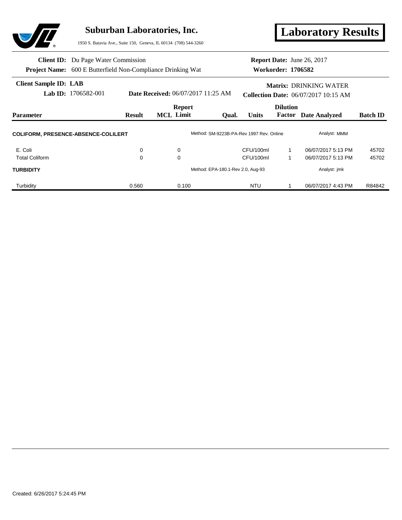

**Client Sample ID: LAB**

## **Suburban Laboratories, Inc.**

1950 S. Batavia Ave., Suite 150, Geneva, IL 60134 (708) 544-3260

**Laboratory Results**

| <b>Client ID:</b> Du Page Water Commission                         |
|--------------------------------------------------------------------|
| <b>Project Name:</b> 600 E Butterfield Non-Compliance Drinking Wat |

#### **Workorder: 1706582 Report Date:** June 26, 2017

### **Matrix:** DRINKING WATER

**Lab ID:** 1706582-001 **Date Received:** 06/07/2017 11:25 AM **Collection Date:** 06/07/2017 10:15 AM

| <b>Parameter</b>                           | <b>Result</b> | <b>Report</b><br><b>MCL</b> Limit | <b>Units</b><br>Oual.                    | <b>Dilution</b><br>Factor | <b>Date Analyzed</b> | <b>Batch ID</b> |
|--------------------------------------------|---------------|-----------------------------------|------------------------------------------|---------------------------|----------------------|-----------------|
| <b>COLIFORM, PRESENCE-ABSENCE-COLILERT</b> |               |                                   | Method: SM-9223B-PA-Rev 1997 Rev. Online |                           | Analyst: MMM         |                 |
| E. Coli                                    | 0             | 0                                 | CFU/100ml                                |                           | 06/07/2017 5:13 PM   | 45702           |
| <b>Total Coliform</b>                      | 0             | 0                                 | CFU/100ml                                |                           | 06/07/2017 5:13 PM   | 45702           |
| <b>TURBIDITY</b>                           |               |                                   | Method: EPA-180.1-Rev 2.0, Aug-93        |                           | Analyst: jmk         |                 |
| Turbidity                                  | 0.560         | 0.100                             | <b>NTU</b>                               |                           | 06/07/2017 4:43 PM   | R84842          |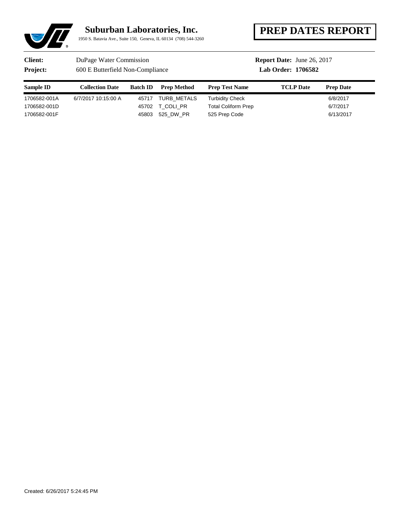## **Suburban Laboratories, Inc.**

1950 S. Batavia Ave., Suite 150, Geneva, IL 60134 (708) 544-3260

# **PREP DATES REPORT**

## **Client:** DuPage Water Commission

**Project:** 600 E Butterfield Non-Compliance

## **Report Date:** June 26, 2017

### **Lab Order: 1706582**

| Sample ID    | <b>Collection Date</b> | <b>Batch ID</b> | <b>Prep Method</b> | <b>Prep Test Name</b>      | <b>TCLP</b> Date | <b>Prep Date</b> |
|--------------|------------------------|-----------------|--------------------|----------------------------|------------------|------------------|
| 1706582-001A | 6/7/2017 10:15:00 A    | 45717           | TURB METALS        | Turbidity Check            |                  | 6/8/2017         |
| 1706582-001D |                        | 45702           | T COLI PR          | <b>Total Coliform Prep</b> |                  | 6/7/2017         |
| 1706582-001F |                        | 45803           | 525 DW PR          | 525 Prep Code              |                  | 6/13/2017        |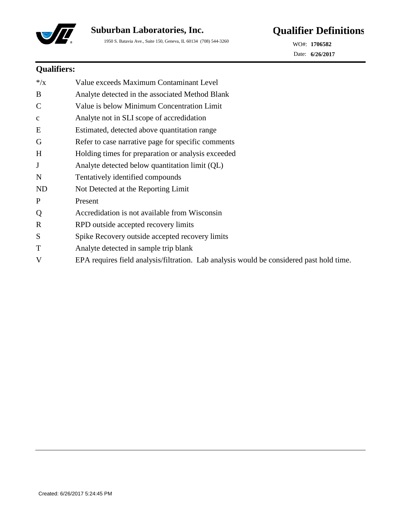

1950 S. Batavia Ave., Suite 150, Geneva, IL 60134 (708) 544-3260



**6/26/2017** Date: **1706582** WO#:

## **Qualifiers:**

| $*$ / $X$     | Value exceeds Maximum Contaminant Level                                                  |
|---------------|------------------------------------------------------------------------------------------|
| B             | Analyte detected in the associated Method Blank                                          |
| $\mathcal{C}$ | Value is below Minimum Concentration Limit                                               |
| $\mathbf c$   | Analyte not in SLI scope of accredidation                                                |
| E             | Estimated, detected above quantitation range                                             |
| G             | Refer to case narrative page for specific comments                                       |
| H             | Holding times for preparation or analysis exceeded                                       |
| J             | Analyte detected below quantitation limit (QL)                                           |
| N             | Tentatively identified compounds                                                         |
| <b>ND</b>     | Not Detected at the Reporting Limit                                                      |
| $\mathbf{P}$  | Present                                                                                  |
| Q             | Accredidation is not available from Wisconsin                                            |
| $\mathbf R$   | RPD outside accepted recovery limits                                                     |
| S             | Spike Recovery outside accepted recovery limits                                          |
| T             | Analyte detected in sample trip blank                                                    |
| V             | EPA requires field analysis/filtration. Lab analysis would be considered past hold time. |